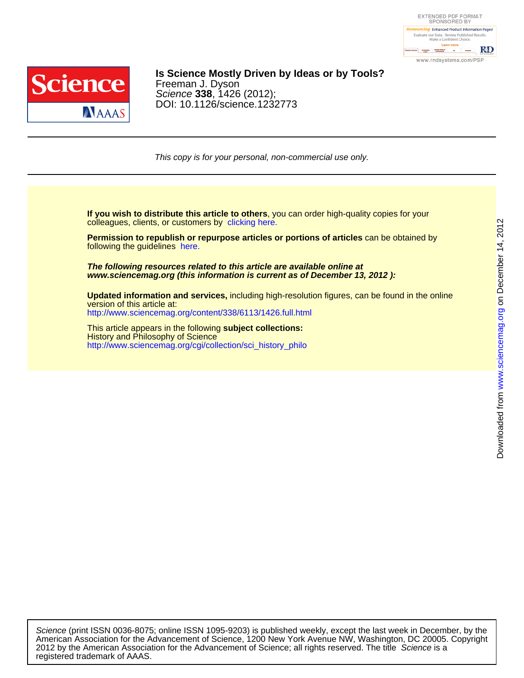



### DOI: 10.1126/science.1232773 Science **338**, 1426 (2012); Freeman J. Dyson **Is Science Mostly Driven by Ideas or by Tools?**

This copy is for your personal, non-commercial use only.

colleagues, clients, or customers by [clicking here.](http://www.sciencemag.org/about/permissions.dtl) **If you wish to distribute this article to others**, you can order high-quality copies for your

following the guidelines [here.](http://www.sciencemag.org/about/permissions.dtl) **Permission to republish or repurpose articles or portions of articles** can be obtained by

**www.sciencemag.org (this information is current as of December 13, 2012 ): The following resources related to this article are available online at**

<http://www.sciencemag.org/content/338/6113/1426.full.html> version of this article at: **Updated information and services,** including high-resolution figures, can be found in the online

[http://www.sciencemag.org/cgi/collection/sci\\_history\\_philo](http://www.sciencemag.org/cgi/collection/sci_history_philo) History and Philosophy of Science This article appears in the following **subject collections:**

registered trademark of AAAS. 2012 by the American Association for the Advancement of Science; all rights reserved. The title Science is a American Association for the Advancement of Science, 1200 New York Avenue NW, Washington, DC 20005. Copyright Science (print ISSN 0036-8075; online ISSN 1095-9203) is published weekly, except the last week in December, by the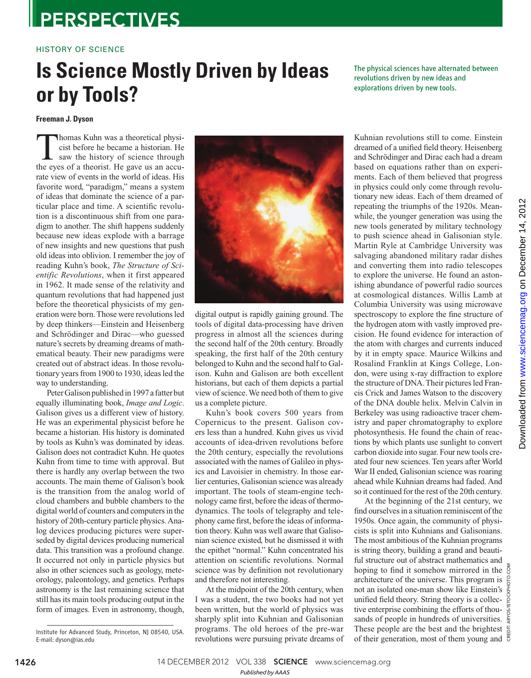### **PERSPECTIVES**

### HISTORY OF SCIENCE

## **Is Science Mostly Driven by Ideas or by Tools?**

The physical sciences have alternated between revolutions driven by new ideas and explorations driven by new tools.

#### **Freeman J. Dyson**

Thomas Kuhn was a theoretical physicist before he became a historian. He saw the history of science through the eves of a theorist. He gave us an accucist before he became a historian. He the eyes of a theorist. He gave us an accurate view of events in the world of ideas. His favorite word, "paradigm," means a system of ideas that dominate the science of a particular place and time. A scientific revolution is a discontinuous shift from one paradigm to another. The shift happens suddenly because new ideas explode with a barrage of new insights and new questions that push old ideas into oblivion. I remember the joy of reading Kuhn's book, *The Structure of Scientific Revolutions*, when it first appeared in 1962. It made sense of the relativity and quantum revolutions that had happened just before the theoretical physicists of my generation were born. Those were revolutions led by deep thinkers—Einstein and Heisenberg and Schrödinger and Dirac—who guessed nature's secrets by dreaming dreams of mathematical beauty. Their new paradigms were created out of abstract ideas. In those revolutionary years from 1900 to 1930, ideas led the way to understanding.

Peter Galison published in 1997 a fatter but equally illuminating book, *Image and Logic*. Galison gives us a different view of history. He was an experimental physicist before he became a historian. His history is dominated by tools as Kuhn's was dominated by ideas. Galison does not contradict Kuhn. He quotes Kuhn from time to time with approval. But there is hardly any overlap between the two accounts. The main theme of Galison's book is the transition from the analog world of cloud chambers and bubble chambers to the digital world of counters and computers in the history of 20th-century particle physics. Analog devices producing pictures were superseded by digital devices producing numerical data. This transition was a profound change. It occurred not only in particle physics but also in other sciences such as geology, meteorology, paleontology, and genetics. Perhaps astronomy is the last remaining science that still has its main tools producing output in the form of images. Even in astronomy, though,



digital output is rapidly gaining ground. The tools of digital data-processing have driven progress in almost all the sciences during the second half of the 20th century. Broadly speaking, the first half of the 20th century belonged to Kuhn and the second half to Galison. Kuhn and Galison are both excellent historians, but each of them depicts a partial view of science. We need both of them to give us a complete picture.

Kuhn's book covers 500 years from Copernicus to the present. Galison covers less than a hundred. Kuhn gives us vivid accounts of idea-driven revolutions before the 20th century, especially the revolutions associated with the names of Galileo in physics and Lavoisier in chemistry. In those earlier centuries, Galisonian science was already important. The tools of steam-engine technology came first, before the ideas of thermodynamics. The tools of telegraphy and telephony came first, before the ideas of information theory. Kuhn was well aware that Galisonian science existed, but he dismissed it with the epithet "normal." Kuhn concentrated his attention on scientific revolutions. Normal science was by definition not revolutionary and therefore not interesting.

At the midpoint of the 20th century, when I was a student, the two books had not yet been written, but the world of physics was sharply split into Kuhnian and Galisonian programs. The old heroes of the pre-war revolutions were pursuing private dreams of Kuhnian revolutions still to come. Einstein dreamed of a unified field theory. Heisenberg and Schrödinger and Dirac each had a dream based on equations rather than on experiments. Each of them believed that progress in physics could only come through revolutionary new ideas. Each of them dreamed of repeating the triumphs of the 1920s. Meanwhile, the younger generation was using the new tools generated by military technology to push science ahead in Galisonian style. Martin Ryle at Cambridge University was salvaging abandoned military radar dishes and converting them into radio telescopes to explore the universe. He found an astonishing abundance of powerful radio sources at cosmological distances. Willis Lamb at Columbia University was using microwave spectroscopy to explore the fine structure of the hydrogen atom with vastly improved precision. He found evidence for interaction of the atom with charges and currents induced by it in empty space. Maurice Wilkins and Rosalind Franklin at Kings College, London, were using x-ray diffraction to explore the structure of DNA. Their pictures led Francis Crick and James Watson to the discovery of the DNA double helix. Melvin Calvin in Berkeley was using radioactive tracer chemistry and paper chromatography to explore photosynthesis. He found the chain of reactions by which plants use sunlight to convert carbon dioxide into sugar. Four new tools created four new sciences. Ten years after World War II ended, Galisonian science was roaring ahead while Kuhnian dreams had faded. And so it continued for the rest of the 20th century.

At the beginning of the 21st century, we find ourselves in a situation reminiscent of the 1950s. Once again, the community of physicists is split into Kuhnians and Galisonians. The most ambitious of the Kuhnian programs is string theory, building a grand and beautiful structure out of abstract mathematics and hoping to find it somehow mirrored in the  $\overline{S}$ architecture of the universe. This program is not an isolated one-man show like Einstein's  $\frac{1}{9}$ unified field theory. String theory is a collec-  $\frac{8}{9}$ tive enterprise combining the efforts of thousands of people in hundreds of universities. These people are the best and the brightest  $\frac{e}{\Omega}$ of their generation, most of them young and  $\overline{6}$ 

CREDIT: ARYOS/ISTOCKPHOTO.COM

1426 18 14 DECEMBER 2012 VOL 338 SCIENCE www.sciencemag.org

*Published byAAAS*

Institute for Advanced Study, Princeton, NJ 08540, USA. E-mail: dyson@ias.edu